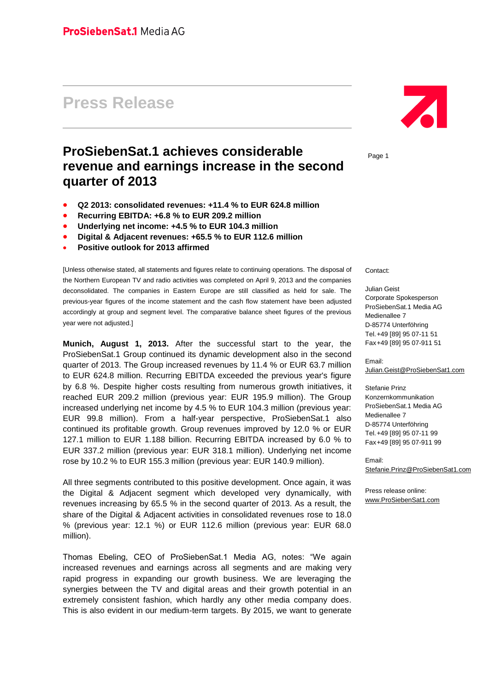# **Press Release**

# **ProSiebenSat.1 achieves considerable revenue and earnings increase in the second quarter of 2013**

- **Q2 2013: consolidated revenues: +11.4 % to EUR 624.8 million**
- **Recurring EBITDA: +6.8 % to EUR 209.2 million**
- **Underlying net income: +4.5 % to EUR 104.3 million**
- **Digital & Adjacent revenues: +65.5 % to EUR 112.6 million**
- **Positive outlook for 2013 affirmed**

[Unless otherwise stated, all statements and figures relate to continuing operations. The disposal of the Northern European TV and radio activities was completed on April 9, 2013 and the companies deconsolidated. The companies in Eastern Europe are still classified as held for sale. The previous-year figures of the income statement and the cash flow statement have been adjusted accordingly at group and segment level. The comparative balance sheet figures of the previous year were not adjusted.]

**Munich, August 1, 2013.** After the successful start to the year, the ProSiebenSat.1 Group continued its dynamic development also in the second quarter of 2013. The Group increased revenues by 11.4 % or EUR 63.7 million to EUR 624.8 million. Recurring EBITDA exceeded the previous year's figure by 6.8 %. Despite higher costs resulting from numerous growth initiatives, it reached EUR 209.2 million (previous year: EUR 195.9 million). The Group increased underlying net income by 4.5 % to EUR 104.3 million (previous year: EUR 99.8 million). From a half-year perspective, ProSiebenSat.1 also continued its profitable growth. Group revenues improved by 12.0 % or EUR 127.1 million to EUR 1.188 billion. Recurring EBITDA increased by 6.0 % to EUR 337.2 million (previous year: EUR 318.1 million). Underlying net income rose by 10.2 % to EUR 155.3 million (previous year: EUR 140.9 million).

All three segments contributed to this positive development. Once again, it was the Digital & Adjacent segment which developed very dynamically, with revenues increasing by 65.5 % in the second quarter of 2013. As a result, the share of the Digital & Adjacent activities in consolidated revenues rose to 18.0 % (previous year: 12.1 %) or EUR 112.6 million (previous year: EUR 68.0 million).

Thomas Ebeling, CEO of ProSiebenSat.1 Media AG, notes: "We again increased revenues and earnings across all segments and are making very rapid progress in expanding our growth business. We are leveraging the synergies between the TV and digital areas and their growth potential in an extremely consistent fashion, which hardly any other media company does. This is also evident in our medium-term targets. By 2015, we want to generate



Page 1

Contact:

Julian Geist Corporate Spokesperson ProSiebenSat.1 Media AG Medienallee 7 D-85774 Unterföhring Tel.+49 [89] 95 07-11 51 Fax+49 [89] 95 07-911 51

Email: [Julian.Geist@ProSiebenSat1.com](mailto:Julian.Geist@ProSiebenSat1.com)

Stefanie Prinz Konzernkommunikation ProSiebenSat.1 Media AG Medienallee 7 D-85774 Unterföhring Tel.+49 [89] 95 07-11 99 Fax+49 [89] 95 07-911 99

Email: [Stefanie.Prinz@ProSiebenSat1.com](file:///D:/Users/pri0001s/AppData/Local/Microsoft/Windows/Temporary%20Internet%20Files/Content.Outlook/AppData/Local/Microsoft/Windows/Temporary%20Internet%20Files/AppData/Local/Microsoft/Windows/Temporary%20Internet%20Files/Content.Outlook/D7J5EL6A/Stefanie.Prinz@ProSiebenSat1.com)

Press release online: [www.ProSiebenSat1.com](http://www.prosiebensat1.com/)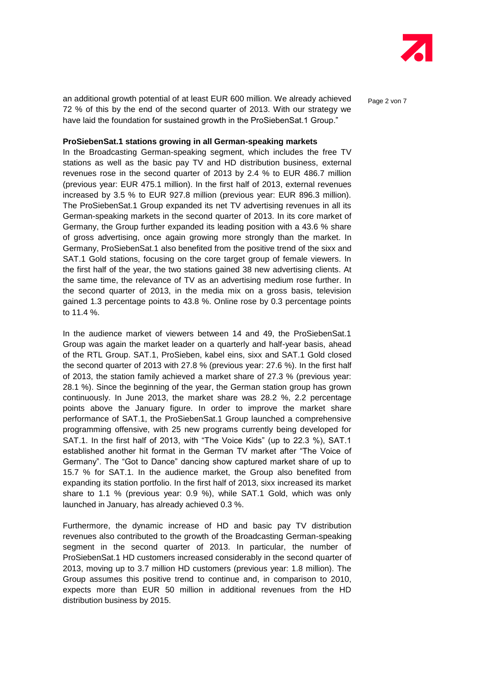

an additional growth potential of at least EUR 600 million. We already achieved  $P_{\text{a}ae 2 von 7}$ 72 % of this by the end of the second quarter of 2013. With our strategy we have laid the foundation for sustained growth in the ProSiebenSat.1 Group."

#### **ProSiebenSat.1 stations growing in all German-speaking markets**

In the Broadcasting German-speaking segment, which includes the free TV stations as well as the basic pay TV and HD distribution business, external revenues rose in the second quarter of 2013 by 2.4 % to EUR 486.7 million (previous year: EUR 475.1 million). In the first half of 2013, external revenues increased by 3.5 % to EUR 927.8 million (previous year: EUR 896.3 million). The ProSiebenSat.1 Group expanded its net TV advertising revenues in all its German-speaking markets in the second quarter of 2013. In its core market of Germany, the Group further expanded its leading position with a 43.6 % share of gross advertising, once again growing more strongly than the market. In Germany, ProSiebenSat.1 also benefited from the positive trend of the sixx and SAT.1 Gold stations, focusing on the core target group of female viewers. In the first half of the year, the two stations gained 38 new advertising clients. At the same time, the relevance of TV as an advertising medium rose further. In the second quarter of 2013, in the media mix on a gross basis, television gained 1.3 percentage points to 43.8 %. Online rose by 0.3 percentage points to 11.4 %.

In the audience market of viewers between 14 and 49, the ProSiebenSat.1 Group was again the market leader on a quarterly and half-year basis, ahead of the RTL Group. SAT.1, ProSieben, kabel eins, sixx and SAT.1 Gold closed the second quarter of 2013 with 27.8 % (previous year: 27.6 %). In the first half of 2013, the station family achieved a market share of 27.3 % (previous year: 28.1 %). Since the beginning of the year, the German station group has grown continuously. In June 2013, the market share was 28.2 %, 2.2 percentage points above the January figure. In order to improve the market share performance of SAT.1, the ProSiebenSat.1 Group launched a comprehensive programming offensive, with 25 new programs currently being developed for SAT.1. In the first half of 2013, with "The Voice Kids" (up to 22.3 %), SAT.1 established another hit format in the German TV market after "The Voice of Germany". The "Got to Dance" dancing show captured market share of up to 15.7 % for SAT.1. In the audience market, the Group also benefited from expanding its station portfolio. In the first half of 2013, sixx increased its market share to 1.1 % (previous year: 0.9 %), while SAT.1 Gold, which was only launched in January, has already achieved 0.3 %.

Furthermore, the dynamic increase of HD and basic pay TV distribution revenues also contributed to the growth of the Broadcasting German-speaking segment in the second quarter of 2013. In particular, the number of ProSiebenSat.1 HD customers increased considerably in the second quarter of 2013, moving up to 3.7 million HD customers (previous year: 1.8 million). The Group assumes this positive trend to continue and, in comparison to 2010, expects more than EUR 50 million in additional revenues from the HD distribution business by 2015.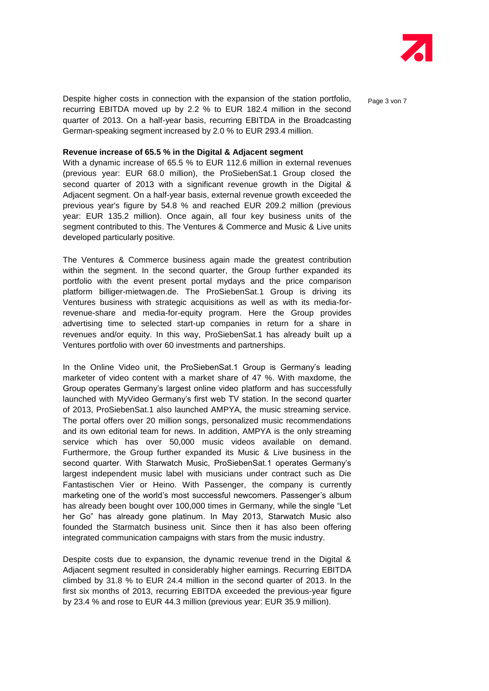

Despite higher costs in connection with the expansion of the station portfolio,  $P_{\text{a}ae 3 von 7}$ recurring EBITDA moved up by 2.2 % to EUR 182.4 million in the second quarter of 2013. On a half-year basis, recurring EBITDA in the Broadcasting German-speaking segment increased by 2.0 % to EUR 293.4 million.

#### **Revenue increase of 65.5 % in the Digital & Adjacent segment**

With a dynamic increase of 65.5 % to EUR 112.6 million in external revenues (previous year: EUR 68.0 million), the ProSiebenSat.1 Group closed the second quarter of 2013 with a significant revenue growth in the Digital & Adjacent segment. On a half-year basis, external revenue growth exceeded the previous year's figure by 54.8 % and reached EUR 209.2 million (previous year: EUR 135.2 million). Once again, all four key business units of the segment contributed to this. The Ventures & Commerce and Music & Live units developed particularly positive.

The Ventures & Commerce business again made the greatest contribution within the segment. In the second quarter, the Group further expanded its portfolio with the event present portal mydays and the price comparison platform billiger-mietwagen.de. The ProSiebenSat.1 Group is driving its Ventures business with strategic acquisitions as well as with its media-forrevenue-share and media-for-equity program. Here the Group provides advertising time to selected start-up companies in return for a share in revenues and/or equity. In this way, ProSiebenSat.1 has already built up a Ventures portfolio with over 60 investments and partnerships.

In the Online Video unit, the ProSiebenSat.1 Group is Germany's leading marketer of video content with a market share of 47 %. With maxdome, the Group operates Germany's largest online video platform and has successfully launched with MyVideo Germany's first web TV station. In the second quarter of 2013, ProSiebenSat.1 also launched AMPYA, the music streaming service. The portal offers over 20 million songs, personalized music recommendations and its own editorial team for news. In addition, AMPYA is the only streaming service which has over 50,000 music videos available on demand. Furthermore, the Group further expanded its Music & Live business in the second quarter. With Starwatch Music, ProSiebenSat.1 operates Germany's largest independent music label with musicians under contract such as Die Fantastischen Vier or Heino. With Passenger, the company is currently marketing one of the world's most successful newcomers. Passenger's album has already been bought over 100,000 times in Germany, while the single "Let her Go" has already gone platinum. In May 2013, Starwatch Music also founded the Starmatch business unit. Since then it has also been offering integrated communication campaigns with stars from the music industry.

Despite costs due to expansion, the dynamic revenue trend in the Digital & Adjacent segment resulted in considerably higher earnings. Recurring EBITDA climbed by 31.8 % to EUR 24.4 million in the second quarter of 2013. In the first six months of 2013, recurring EBITDA exceeded the previous-year figure by 23.4 % and rose to EUR 44.3 million (previous year: EUR 35.9 million).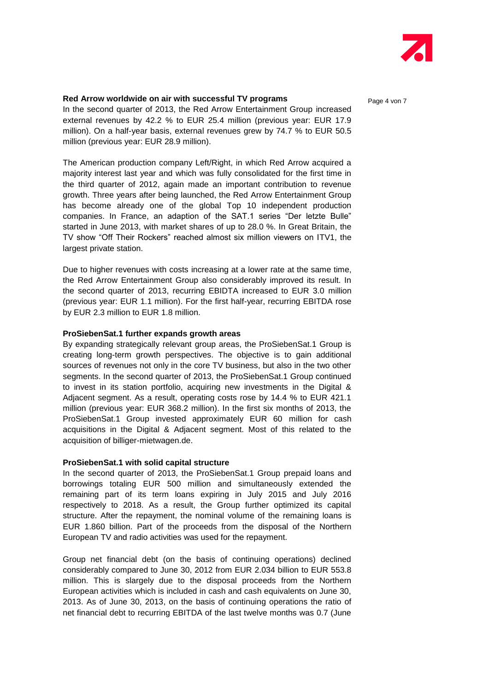

#### **Red Arrow worldwide on air with successful TV programs** Page 4 von 7

In the second quarter of 2013, the Red Arrow Entertainment Group increased external revenues by 42.2 % to EUR 25.4 million (previous year: EUR 17.9 million). On a half-year basis, external revenues grew by 74.7 % to EUR 50.5 million (previous year: EUR 28.9 million).

The American production company Left/Right, in which Red Arrow acquired a majority interest last year and which was fully consolidated for the first time in the third quarter of 2012, again made an important contribution to revenue growth. Three years after being launched, the Red Arrow Entertainment Group has become already one of the global Top 10 independent production companies. In France, an adaption of the SAT.1 series "Der letzte Bulle" started in June 2013, with market shares of up to 28.0 %. In Great Britain, the TV show "Off Their Rockers" reached almost six million viewers on ITV1, the largest private station.

Due to higher revenues with costs increasing at a lower rate at the same time, the Red Arrow Entertainment Group also considerably improved its result. In the second quarter of 2013, recurring EBIDTA increased to EUR 3.0 million (previous year: EUR 1.1 million). For the first half-year, recurring EBITDA rose by EUR 2.3 million to EUR 1.8 million.

#### **ProSiebenSat.1 further expands growth areas**

By expanding strategically relevant group areas, the ProSiebenSat.1 Group is creating long-term growth perspectives. The objective is to gain additional sources of revenues not only in the core TV business, but also in the two other segments. In the second quarter of 2013, the ProSiebenSat.1 Group continued to invest in its station portfolio, acquiring new investments in the Digital & Adjacent segment. As a result, operating costs rose by 14.4 % to EUR 421.1 million (previous year: EUR 368.2 million). In the first six months of 2013, the ProSiebenSat.1 Group invested approximately EUR 60 million for cash acquisitions in the Digital & Adjacent segment. Most of this related to the acquisition of billiger-mietwagen.de.

#### **ProSiebenSat.1 with solid capital structure**

In the second quarter of 2013, the ProSiebenSat.1 Group prepaid loans and borrowings totaling EUR 500 million and simultaneously extended the remaining part of its term loans expiring in July 2015 and July 2016 respectively to 2018. As a result, the Group further optimized its capital structure. After the repayment, the nominal volume of the remaining loans is EUR 1.860 billion. Part of the proceeds from the disposal of the Northern European TV and radio activities was used for the repayment.

Group net financial debt (on the basis of continuing operations) declined considerably compared to June 30, 2012 from EUR 2.034 billion to EUR 553.8 million. This is slargely due to the disposal proceeds from the Northern European activities which is included in cash and cash equivalents on June 30, 2013. As of June 30, 2013, on the basis of continuing operations the ratio of net financial debt to recurring EBITDA of the last twelve months was 0.7 (June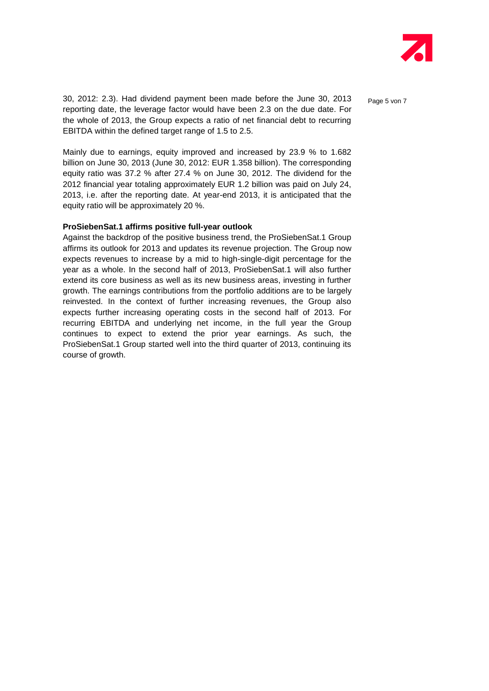

30, 2012: 2.3). Had dividend payment been made before the June 30, 2013  $P_{\text{age 5 von 7}}$ reporting date, the leverage factor would have been 2.3 on the due date. For the whole of 2013, the Group expects a ratio of net financial debt to recurring EBITDA within the defined target range of 1.5 to 2.5.

Mainly due to earnings, equity improved and increased by 23.9 % to 1.682 billion on June 30, 2013 (June 30, 2012: EUR 1.358 billion). The corresponding equity ratio was 37.2 % after 27.4 % on June 30, 2012. The dividend for the 2012 financial year totaling approximately EUR 1.2 billion was paid on July 24, 2013, i.e. after the reporting date. At year-end 2013, it is anticipated that the equity ratio will be approximately 20 %.

#### **ProSiebenSat.1 affirms positive full-year outlook**

Against the backdrop of the positive business trend, the ProSiebenSat.1 Group affirms its outlook for 2013 and updates its revenue projection. The Group now expects revenues to increase by a mid to high-single-digit percentage for the year as a whole. In the second half of 2013, ProSiebenSat.1 will also further extend its core business as well as its new business areas, investing in further growth. The earnings contributions from the portfolio additions are to be largely reinvested. In the context of further increasing revenues, the Group also expects further increasing operating costs in the second half of 2013. For recurring EBITDA and underlying net income, in the full year the Group continues to expect to extend the prior year earnings. As such, the ProSiebenSat.1 Group started well into the third quarter of 2013, continuing its course of growth.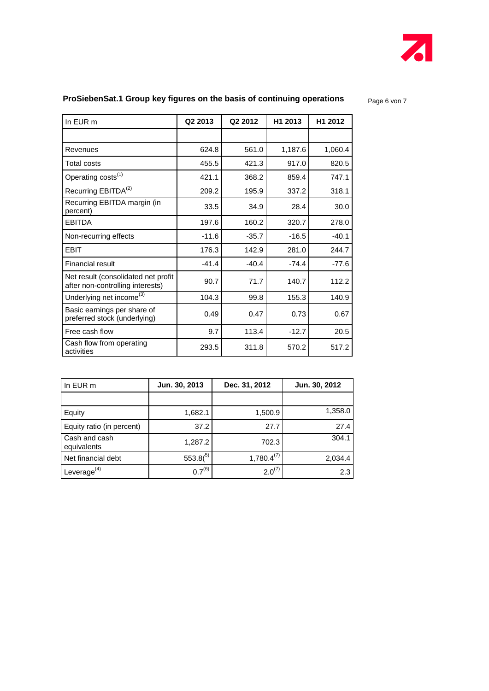

### **ProSiebenSat.1 Group key figures on the basis of continuing operations** a som p<sub>age 6</sub> von 7

| In EUR m                                                                | Q2 2013 | Q2 2012 | H1 2013 | H1 2012 |
|-------------------------------------------------------------------------|---------|---------|---------|---------|
|                                                                         |         |         |         |         |
| Revenues                                                                | 624.8   | 561.0   | 1,187.6 | 1,060.4 |
| <b>Total costs</b>                                                      | 455.5   | 421.3   | 917.0   | 820.5   |
| Operating costs <sup>(1)</sup>                                          | 421.1   | 368.2   | 859.4   | 747.1   |
| Recurring EBITDA <sup>(2)</sup>                                         | 209.2   | 195.9   | 337.2   | 318.1   |
| Recurring EBITDA margin (in<br>percent)                                 | 33.5    | 34.9    | 28.4    | 30.0    |
| <b>EBITDA</b>                                                           | 197.6   | 160.2   | 320.7   | 278.0   |
| Non-recurring effects                                                   | $-11.6$ | $-35.7$ | $-16.5$ | $-40.1$ |
| <b>EBIT</b>                                                             | 176.3   | 142.9   | 281.0   | 244.7   |
| <b>Financial result</b>                                                 | $-41.4$ | $-40.4$ | $-74.4$ | $-77.6$ |
| Net result (consolidated net profit<br>after non-controlling interests) | 90.7    | 71.7    | 140.7   | 112.2   |
| Underlying net income <sup>(3)</sup>                                    | 104.3   | 99.8    | 155.3   | 140.9   |
| Basic earnings per share of<br>preferred stock (underlying)             | 0.49    | 0.47    | 0.73    | 0.67    |
| Free cash flow                                                          | 9.7     | 113.4   | $-12.7$ | 20.5    |
| Cash flow from operating<br>activities                                  | 293.5   | 311.8   | 570.2   | 517.2   |

| In EUR m                     | Jun. 30, 2013 | Dec. 31, 2012   | Jun. 30, 2012 |
|------------------------------|---------------|-----------------|---------------|
|                              |               |                 |               |
| Equity                       | 1,682.1       | 1,500.9         | 1,358.0       |
| Equity ratio (in percent)    | 37.2          | 27.7            | 27.4          |
| Cash and cash<br>equivalents | 1,287.2       | 702.3           | 304.1         |
| Net financial debt           | $553.8(^{5)}$ | $1,780.4^{(7)}$ | 2,034.4       |
| Leverage $(4)$               | $0.7^{(6)}$   | $2.0^{(7)}$     | 2.3           |